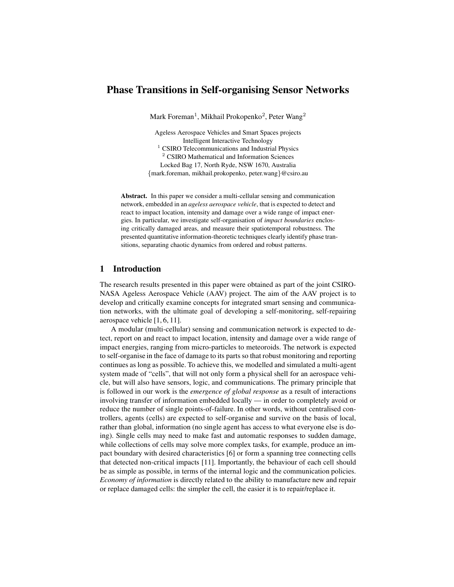# **Phase Transitions in Self-organising Sensor Networks**

Mark Foreman<sup>1</sup>, Mikhail Prokopenko<sup>2</sup>, Peter Wang<sup>2</sup>

Ageless Aerospace Vehicles and Smart Spaces projects Intelligent Interactive Technology <sup>1</sup> CSIRO Telecommunications and Industrial Physics <sup>2</sup> CSIRO Mathematical and Information Sciences Locked Bag 17, North Ryde, NSW 1670, Australia {mark.foreman, mikhail.prokopenko, peter.wang}@csiro.au

**Abstract.** In this paper we consider a multi-cellular sensing and communication network, embedded in an *ageless aerospace vehicle*, that is expected to detect and react to impact location, intensity and damage over a wide range of impact energies. In particular, we investigate self-organisation of *impact boundaries* enclosing critically damaged areas, and measure their spatiotemporal robustness. The presented quantitative information-theoretic techniques clearly identify phase transitions, separating chaotic dynamics from ordered and robust patterns.

## **1 Introduction**

The research results presented in this paper were obtained as part of the joint CSIRO-NASA Ageless Aerospace Vehicle (AAV) project. The aim of the AAV project is to develop and critically examine concepts for integrated smart sensing and communication networks, with the ultimate goal of developing a self-monitoring, self-repairing aerospace vehicle [1, 6, 11].

A modular (multi-cellular) sensing and communication network is expected to detect, report on and react to impact location, intensity and damage over a wide range of impact energies, ranging from micro-particles to meteoroids. The network is expected to self-organise in the face of damage to its parts so that robust monitoring and reporting continues as long as possible. To achieve this, we modelled and simulated a multi-agent system made of "cells", that will not only form a physical shell for an aerospace vehicle, but will also have sensors, logic, and communications. The primary principle that is followed in our work is the *emergence of global response* as a result of interactions involving transfer of information embedded locally — in order to completely avoid or reduce the number of single points-of-failure. In other words, without centralised controllers, agents (cells) are expected to self-organise and survive on the basis of local, rather than global, information (no single agent has access to what everyone else is doing). Single cells may need to make fast and automatic responses to sudden damage, while collections of cells may solve more complex tasks, for example, produce an impact boundary with desired characteristics [6] or form a spanning tree connecting cells that detected non-critical impacts [11]. Importantly, the behaviour of each cell should be as simple as possible, in terms of the internal logic and the communication policies. *Economy of information* is directly related to the ability to manufacture new and repair or replace damaged cells: the simpler the cell, the easier it is to repair/replace it.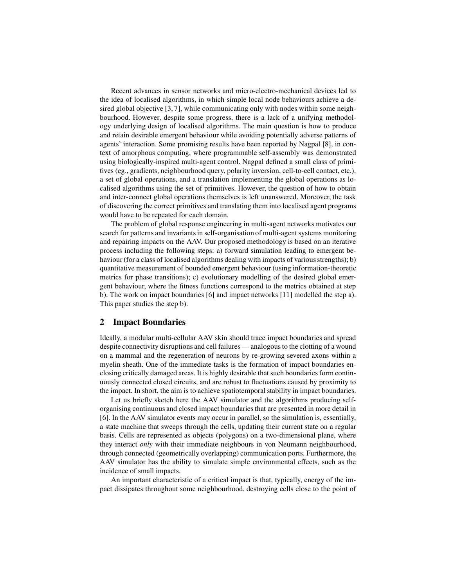Recent advances in sensor networks and micro-electro-mechanical devices led to the idea of localised algorithms, in which simple local node behaviours achieve a desired global objective [3, 7], while communicating only with nodes within some neighbourhood. However, despite some progress, there is a lack of a unifying methodology underlying design of localised algorithms. The main question is how to produce and retain desirable emergent behaviour while avoiding potentially adverse patterns of agents' interaction. Some promising results have been reported by Nagpal [8], in context of amorphous computing, where programmable self-assembly was demonstrated using biologically-inspired multi-agent control. Nagpal defined a small class of primitives (eg., gradients, neighbourhood query, polarity inversion, cell-to-cell contact, etc.), a set of global operations, and a translation implementing the global operations as localised algorithms using the set of primitives. However, the question of how to obtain and inter-connect global operations themselves is left unanswered. Moreover, the task of discovering the correct primitives and translating them into localised agent programs would have to be repeated for each domain.

The problem of global response engineering in multi-agent networks motivates our search for patterns and invariants in self-organisation of multi-agent systems monitoring and repairing impacts on the AAV. Our proposed methodology is based on an iterative process including the following steps: a) forward simulation leading to emergent behaviour (for a class of localised algorithms dealing with impacts of various strengths); b) quantitative measurement of bounded emergent behaviour (using information-theoretic metrics for phase transitions); c) evolutionary modelling of the desired global emergent behaviour, where the fitness functions correspond to the metrics obtained at step b). The work on impact boundaries [6] and impact networks [11] modelled the step a). This paper studies the step b).

### **2 Impact Boundaries**

Ideally, a modular multi-cellular AAV skin should trace impact boundaries and spread despite connectivity disruptions and cell failures — analogousto the clotting of a wound on a mammal and the regeneration of neurons by re-growing severed axons within a myelin sheath. One of the immediate tasks is the formation of impact boundaries enclosing critically damaged areas. It is highly desirable that such boundariesform continuously connected closed circuits, and are robust to fluctuations caused by proximity to the impact. In short, the aim is to achieve spatiotemporal stability in impact boundaries.

Let us briefly sketch here the AAV simulator and the algorithms producing selforganising continuous and closed impact boundariesthat are presented in more detail in [6]. In the AAV simulator events may occur in parallel, so the simulation is, essentially, a state machine that sweeps through the cells, updating their current state on a regular basis. Cells are represented as objects (polygons) on a two-dimensional plane, where they interact *only* with their immediate neighbours in von Neumann neighbourhood, through connected (geometrically overlapping) communication ports. Furthermore, the AAV simulator has the ability to simulate simple environmental effects, such as the incidence of small impacts.

An important characteristic of a critical impact is that, typically, energy of the impact dissipates throughout some neighbourhood, destroying cells close to the point of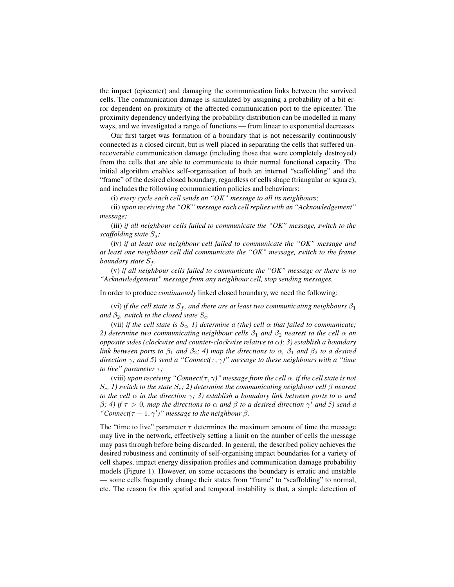the impact (epicenter) and damaging the communication links between the survived cells. The communication damage is simulated by assigning a probability of a bit error dependent on proximity of the affected communication port to the epicenter. The proximity dependency underlying the probability distribution can be modelled in many ways, and we investigated a range of functions — from linear to exponential decreases.

Our first target was formation of a boundary that is not necessarily continuously connected as a closed circuit, but is well placed in separating the cells that suffered unrecoverable communication damage (including those that were completely destroyed) from the cells that are able to communicate to their normal functional capacity. The initial algorithm enables self-organisation of both an internal "scaffolding" and the "frame" of the desired closed boundary, regardless of cells shape (triangular or square), and includes the following communication policies and behaviours:

(i) *every cycle each cell sends an "OK" message to all its neighbours;*

(ii) *upon receiving the "OK" message each cell replies with an "Acknowledgement" message;*

(iii) *if all neighbour cells failed to communicate the "OK" message, switch to the scaffolding state* Ss*;*

(iv) *if at least one neighbour cell failed to communicate the "OK" message and at least one neighbour cell did communicate the "OK" message, switch to the frame boundary state*  $S_f$ *.* 

(v) *if all neighbour cells failed to communicate the "OK" message or there is no "Acknowledgement" message from any neighbour cell, stop sending messages.*

In order to produce *continuously* linked closed boundary, we need the following:

(vi) *if the cell state is*  $S_f$ , *and there are at least two communicating neighbours*  $\beta_1$ *and*  $\beta_2$ *, switch to the closed state*  $S_c$ *.* 

(vii) *if the cell state is*  $S_c$ , *1) determine a (the) cell*  $\alpha$  *that failed to communicate; 2) determine two communicating neighbour cells*  $\beta_1$  *and*  $\beta_2$  *nearest to the cell*  $\alpha$  *on opposite sides (clockwise and counter-clockwise relative to* α*); 3) establish a boundary link between ports to*  $\beta_1$  *and*  $\beta_2$ ; 4) *map the directions to*  $\alpha$ ,  $\beta_1$  *and*  $\beta_2$  *to a desired direction* γ*; and 5) send a "Connect(*τ, γ*)" message to these neighbours with a "time to live*" *parameter*  $\tau$ ;

(viii) *upon receiving* "*Connect*( $\tau$ ,  $\gamma$ )" *message from the cell*  $\alpha$ *, if the cell state is not*  $S_c$ , *1*) *switch to the state*  $S_c$ ; *2*) *determine the communicating neighbour cell*  $\beta$  *nearest to the cell*  $\alpha$  *in the direction*  $\gamma$ *;* 3) *establish a boundary link between ports to*  $\alpha$  *and*  $\beta$ ; 4) if  $\tau > 0$ , map the directions to  $\alpha$  and  $\beta$  to a desired direction  $\gamma'$  and 5) send a "Connect( $\tau - 1$ ,  $\gamma'$ )" message to the neighbour  $\beta$ .

The "time to live" parameter  $\tau$  determines the maximum amount of time the message may live in the network, effectively setting a limit on the number of cells the message may pass through before being discarded. In general, the described policy achieves the desired robustness and continuity of self-organising impact boundaries for a variety of cell shapes, impact energy dissipation profiles and communication damage probability models (Figure 1). However, on some occasions the boundary is erratic and unstable — some cells frequently change their states from "frame" to "scaffolding" to normal, etc. The reason for this spatial and temporal instability is that, a simple detection of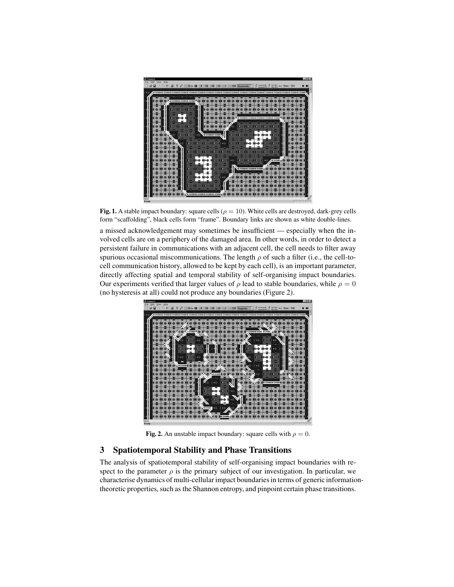

**Fig. 1.** A stable impact boundary: square cells ( $\rho = 10$ ). White cells are destroyed, dark-grey cells form "scaffolding", black cells form "frame". Boundary links are shown as white double-lines.

a missed acknowledgement may sometimes be insufficient — especially when the involved cells are on a periphery of the damaged area. In other words, in order to detect a persistent failure in communications with an adjacent cell, the cell needs to filter away spurious occasional miscommunications. The length  $\rho$  of such a filter (i.e., the cell-tocell communication history, allowed to be kept by each cell), is an important parameter, directly affecting spatial and temporal stability of self-organising impact boundaries. Our experiments verified that larger values of  $\rho$  lead to stable boundaries, while  $\rho = 0$ (no hysteresis at all) could not produce any boundaries (Figure 2).



**Fig. 2.** An unstable impact boundary: square cells with  $\rho = 0$ .

## **3 Spatiotemporal Stability and Phase Transitions**

The analysis of spatiotemporal stability of self-organising impact boundaries with respect to the parameter  $\rho$  is the primary subject of our investigation. In particular, we characterise dynamics of multi-cellular impact boundariesin terms of generic informationtheoretic properties, such as the Shannon entropy, and pinpoint certain phase transitions.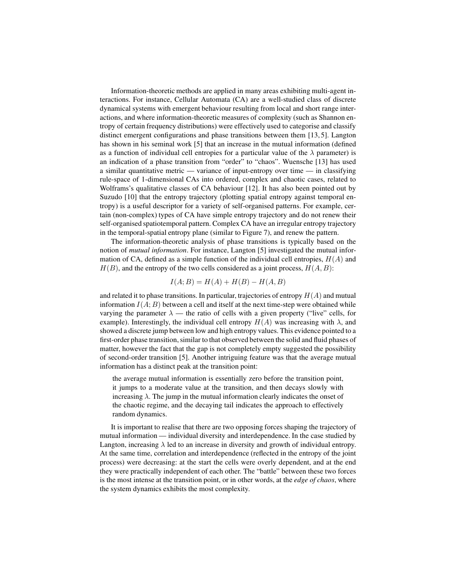Information-theoretic methods are applied in many areas exhibiting multi-agent interactions. For instance, Cellular Automata (CA) are a well-studied class of discrete dynamical systems with emergent behaviour resulting from local and short range interactions, and where information-theoretic measures of complexity (such as Shannon entropy of certain frequency distributions) were effectively used to categorise and classify distinct emergent configurations and phase transitions between them [13, 5]. Langton has shown in his seminal work [5] that an increase in the mutual information (defined as a function of individual cell entropies for a particular value of the  $\lambda$  parameter) is an indication of a phase transition from "order" to "chaos". Wuensche [13] has used a similar quantitative metric — variance of input-entropy over time — in classifying rule-space of 1-dimensional CAs into ordered, complex and chaotic cases, related to Wolframs's qualitative classes of CA behaviour [12]. It has also been pointed out by Suzudo [10] that the entropy trajectory (plotting spatial entropy against temporal entropy) is a useful descriptor for a variety of self-organised patterns. For example, certain (non-complex) types of CA have simple entropy trajectory and do not renew their self-organised spatiotemporal pattern. Complex CA have an irregular entropy trajectory in the temporal-spatial entropy plane (similar to Figure 7), and renew the pattern.

The information-theoretic analysis of phase transitions is typically based on the notion of *mutual information*. For instance, Langton [5] investigated the mutual information of CA, defined as a simple function of the individual cell entropies,  $H(A)$  and  $H(B)$ , and the entropy of the two cells considered as a joint process,  $H(A, B)$ :

$$
I(A; B) = H(A) + H(B) - H(A, B)
$$

and related it to phase transitions. In particular, trajectories of entropy  $H(A)$  and mutual information  $I(A; B)$  between a cell and itself at the next time-step were obtained while varying the parameter  $\lambda$  — the ratio of cells with a given property ("live" cells, for example). Interestingly, the individual cell entropy  $H(A)$  was increasing with  $\lambda$ , and showed a discrete jump between low and high entropy values. This evidence pointed to a first-order phase transition, similar to that observed between the solid and fluid phases of matter, however the fact that the gap is not completely empty suggested the possibility of second-order transition [5]. Another intriguing feature was that the average mutual information has a distinct peak at the transition point:

the average mutual information is essentially zero before the transition point, it jumps to a moderate value at the transition, and then decays slowly with increasing  $\lambda$ . The jump in the mutual information clearly indicates the onset of the chaotic regime, and the decaying tail indicates the approach to effectively random dynamics.

It is important to realise that there are two opposing forces shaping the trajectory of mutual information — individual diversity and interdependence. In the case studied by Langton, increasing  $\lambda$  led to an increase in diversity and growth of individual entropy. At the same time, correlation and interdependence (reflected in the entropy of the joint process) were decreasing: at the start the cells were overly dependent, and at the end they were practically independent of each other. The "battle" between these two forces is the most intense at the transition point, or in other words, at the *edge of chaos*, where the system dynamics exhibits the most complexity.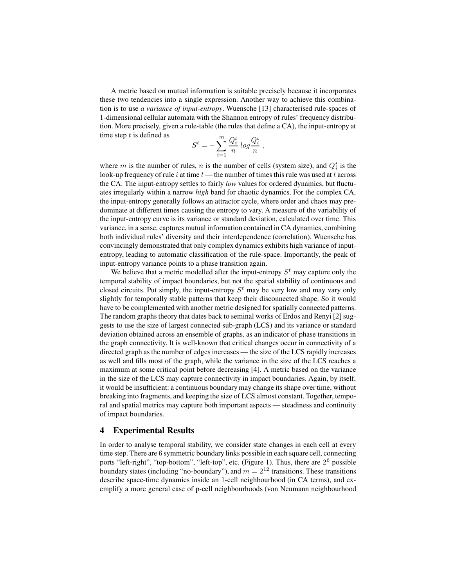A metric based on mutual information is suitable precisely because it incorporates these two tendencies into a single expression. Another way to achieve this combination is to use *a variance of input-entropy*. Wuensche [13] characterised rule-spaces of 1-dimensional cellular automata with the Shannon entropy of rules' frequency distribution. More precisely, given a rule-table (the rules that define a CA), the input-entropy at time step  $t$  is defined as  $\mathfrak{m}$  $\mathcal{L}$ 

$$
S^t = -\sum_{i=1}^m \frac{Q_i^t}{n} \log \frac{Q_i^t}{n},
$$

where m is the number of rules, n is the number of cells (system size), and  $Q_i^t$  is the look-up frequency of rule  $i$  at time  $t$  — the number of times this rule was used at  $t$  across the CA. The input-entropy settles to fairly *low* values for ordered dynamics, but fluctuates irregularly within a narrow *high* band for chaotic dynamics. For the complex CA, the input-entropy generally follows an attractor cycle, where order and chaos may predominate at different times causing the entropy to vary. A measure of the variability of the input-entropy curve is its variance or standard deviation, calculated over time. This variance, in a sense, captures mutual information contained in CA dynamics, combining both individual rules' diversity and their interdependence (correlation). Wuensche has convincingly demonstrated that only complex dynamics exhibits high variance of inputentropy, leading to automatic classification of the rule-space. Importantly, the peak of input-entropy variance points to a phase transition again.

We believe that a metric modelled after the input-entropy  $S<sup>t</sup>$  may capture only the temporal stability of impact boundaries, but not the spatial stability of continuous and closed circuits. Put simply, the input-entropy  $S<sup>t</sup>$  may be very low and may vary only slightly for temporally stable patterns that keep their disconnected shape. So it would have to be complemented with another metric designed for spatially connected patterns. The random graphs theory that dates back to seminal works of Erdos and Renyi [2] suggests to use the size of largest connected sub-graph (LCS) and its variance or standard deviation obtained across an ensemble of graphs, as an indicator of phase transitions in the graph connectivity. It is well-known that critical changes occur in connectivity of a directed graph as the number of edges increases — the size of the LCS rapidly increases as well and fills most of the graph, while the variance in the size of the LCS reaches a maximum at some critical point before decreasing [4]. A metric based on the variance in the size of the LCS may capture connectivity in impact boundaries. Again, by itself, it would be insufficient: a continuous boundary may change its shape over time, without breaking into fragments, and keeping the size of LCS almost constant. Together, temporal and spatial metrics may capture both important aspects — steadiness and continuity of impact boundaries.

### **4 Experimental Results**

In order to analyse temporal stability, we consider state changes in each cell at every time step. There are 6 symmetric boundary links possible in each square cell, connecting ports "left-right", "top-bottom", "left-top", etc. (Figure 1). Thus, there are 2<sup>6</sup> possible boundary states (including "no-boundary"), and  $m = 2^{12}$  transitions. These transitions describe space-time dynamics inside an 1-cell neighbourhood (in CA terms), and exemplify a more general case of p-cell neighbourhoods (von Neumann neighbourhood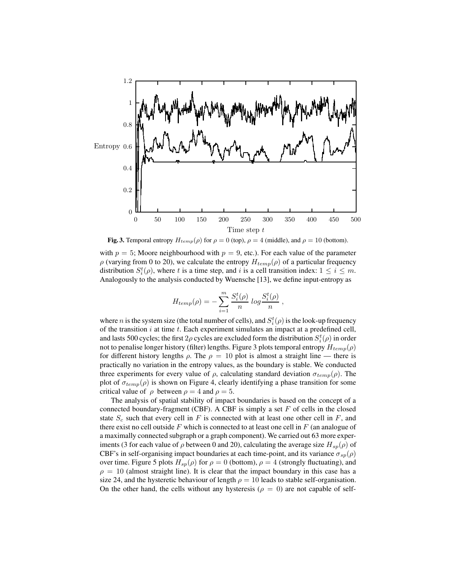

**Fig. 3.** Temporal entropy  $H_{temp}(\rho)$  for  $\rho = 0$  (top),  $\rho = 4$  (middle), and  $\rho = 10$  (bottom).

with  $p = 5$ ; Moore neighbourhood with  $p = 9$ , etc.). For each value of the parameter  $\rho$  (varying from 0 to 20), we calculate the entropy  $H_{temp}(\rho)$  of a particular frequency distribution  $S_i^t(\rho)$ , where t is a time step, and i is a cell transition index:  $1 \leq i \leq m$ . Analogously to the analysis conducted by Wuensche [13], we define input-entropy as

$$
H_{temp}(\rho) = -\sum_{i=1}^{m} \frac{S_i^t(\rho)}{n} \log \frac{S_i^t(\rho)}{n}
$$

,

where *n* is the system size (the total number of cells), and  $S_i^t(\rho)$  is the look-up frequency of the transition  $i$  at time  $t$ . Each experiment simulates an impact at a predefined cell, and lasts 500 cycles; the first  $2\rho$  cycles are excluded form the distribution  $S_i^t(\rho)$  in order not to penalise longer history (filter) lengths. Figure 3 plots temporal entropy  $H_{temp}(\rho)$ for different history lengths  $\rho$ . The  $\rho = 10$  plot is almost a straight line — there is practically no variation in the entropy values, as the boundary is stable. We conducted three experiments for every value of  $\rho$ , calculating standard deviation  $\sigma_{temp}(\rho)$ . The plot of  $\sigma_{temp}(\rho)$  is shown on Figure 4, clearly identifying a phase transition for some critical value of  $\rho$  between  $\rho = 4$  and  $\rho = 5$ .

The analysis of spatial stability of impact boundaries is based on the concept of a connected boundary-fragment (CBF). A CBF is simply a set  $F$  of cells in the closed state  $S_c$  such that every cell in F is connected with at least one other cell in F, and there exist no cell outside  $F$  which is connected to at least one cell in  $F$  (an analogue of a maximally connected subgraph or a graph component). We carried out 63 more experiments (3 for each value of  $\rho$  between 0 and 20), calculating the average size  $H_{so}(\rho)$  of CBF's in self-organising impact boundaries at each time-point, and its variance  $\sigma_{sp}(\rho)$ over time. Figure 5 plots  $H_{sp}(\rho)$  for  $\rho = 0$  (bottom),  $\rho = 4$  (strongly fluctuating), and  $\rho = 10$  (almost straight line). It is clear that the impact boundary in this case has a size 24, and the hysteretic behaviour of length  $\rho = 10$  leads to stable self-organisation. On the other hand, the cells without any hysteresis ( $\rho = 0$ ) are not capable of self-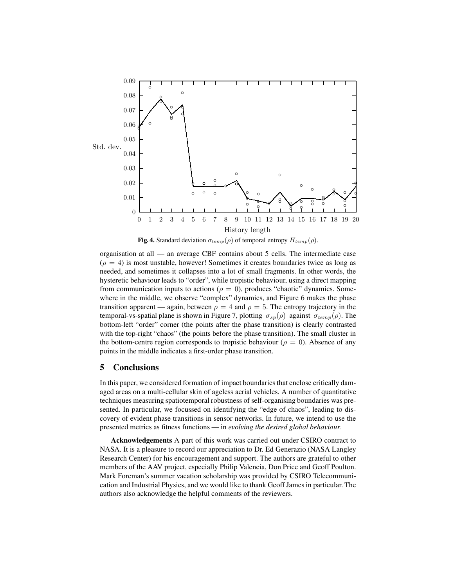



organisation at all — an average CBF contains about 5 cells. The intermediate case  $(\rho = 4)$  is most unstable, however! Sometimes it creates boundaries twice as long as needed, and sometimes it collapses into a lot of small fragments. In other words, the hysteretic behaviour leads to "order", while tropistic behaviour, using a direct mapping from communication inputs to actions ( $\rho = 0$ ), produces "chaotic" dynamics. Somewhere in the middle, we observe "complex" dynamics, and Figure 6 makes the phase transition apparent — again, between  $\rho = 4$  and  $\rho = 5$ . The entropy trajectory in the temporal-vs-spatial plane is shown in Figure 7, plotting  $\sigma_{sp}(\rho)$  against  $\sigma_{temp}(\rho)$ . The bottom-left "order" corner (the points after the phase transition) is clearly contrasted with the top-right "chaos" (the points before the phase transition). The small cluster in the bottom-centre region corresponds to tropistic behaviour ( $\rho = 0$ ). Absence of any points in the middle indicates a first-order phase transition.

### **5 Conclusions**

In this paper, we considered formation of impact boundaries that enclose critically damaged areas on a multi-cellular skin of ageless aerial vehicles. A number of quantitative techniques measuring spatiotemporal robustness of self-organising boundaries was presented. In particular, we focussed on identifying the "edge of chaos", leading to discovery of evident phase transitions in sensor networks. In future, we intend to use the presented metrics as fitness functions — in *evolving the desired global behaviour*.

**Acknowledgements** A part of this work was carried out under CSIRO contract to NASA. It is a pleasure to record our appreciation to Dr. Ed Generazio (NASA Langley Research Center) for his encouragement and support. The authors are grateful to other members of the AAV project, especially Philip Valencia, Don Price and Geoff Poulton. Mark Foreman's summer vacation scholarship was provided by CSIRO Telecommunication and Industrial Physics, and we would like to thank Geoff James in particular. The authors also acknowledge the helpful comments of the reviewers.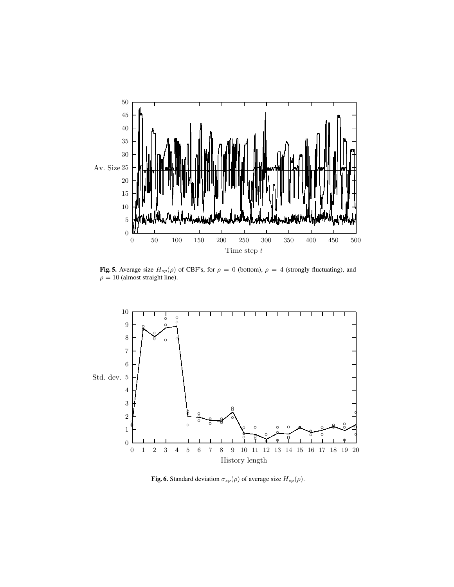

**Fig. 5.** Average size  $H_{sp}(\rho)$  of CBF's, for  $\rho = 0$  (bottom),  $\rho = 4$  (strongly fluctuating), and  $\rho = 10$  (almost straight line).



**Fig. 6.** Standard deviation  $\sigma_{sp}(\rho)$  of average size  $H_{sp}(\rho)$ .